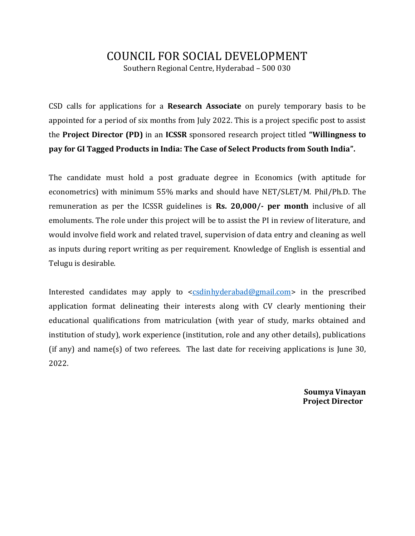## COUNCIL FOR SOCIAL DEVELOPMENT Southern Regional Centre, Hyderabad – 500 030

CSD calls for applications for a **Research Associate** on purely temporary basis to be appointed for a period of six months from July 2022. This is a project specific post to assist the **Project Director (PD)** in an **ICSSR** sponsored research project titled **"Willingness to pay for GI Tagged Products in India: The Case of Select Products from South India".**

The candidate must hold a post graduate degree in Economics (with aptitude for econometrics) with minimum 55% marks and should have NET/SLET/M. Phil/Ph.D. The remuneration as per the ICSSR guidelines is **Rs. 20,000/- per month** inclusive of all emoluments. The role under this project will be to assist the PI in review of literature, and would involve field work and related travel, supervision of data entry and cleaning as well as inputs during report writing as per requirement. Knowledge of English is essential and Telugu is desirable.

Interested candidates may apply to [<csdinhyderabad@gmail.com>](mailto:csdinhyderabad@gmail.com) in the prescribed application format delineating their interests along with CV clearly mentioning their educational qualifications from matriculation (with year of study, marks obtained and institution of study), work experience (institution, role and any other details), publications (if any) and name(s) of two referees. The last date for receiving applications is June 30, 2022.

> **Soumya Vinayan Project Director**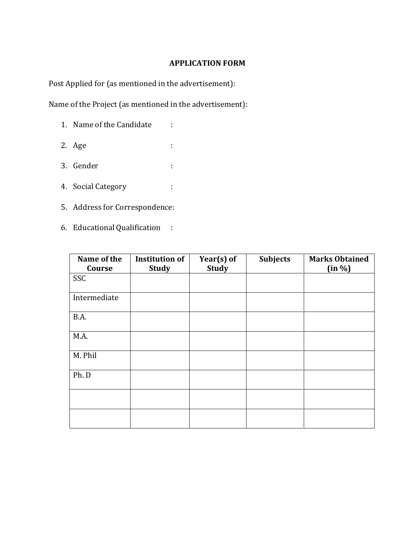## **APPLICATION FORM**

Post Applied for (as mentioned in the advertisement):

Name of the Project (as mentioned in the advertisement):

- 1. Name of the Candidate :
- 2. Age :
- 3. Gender :
- 4. Social Category :
- 5. Address for Correspondence:
- 6. Educational Qualification :

| Name of the<br>Course | <b>Institution of</b><br><b>Study</b> | Year(s) of<br><b>Study</b> | <b>Subjects</b> | <b>Marks Obtained</b><br>(in %) |
|-----------------------|---------------------------------------|----------------------------|-----------------|---------------------------------|
| SSC                   |                                       |                            |                 |                                 |
| Intermediate          |                                       |                            |                 |                                 |
| B.A.                  |                                       |                            |                 |                                 |
| M.A.                  |                                       |                            |                 |                                 |
| M. Phil               |                                       |                            |                 |                                 |
| Ph. D                 |                                       |                            |                 |                                 |
|                       |                                       |                            |                 |                                 |
|                       |                                       |                            |                 |                                 |